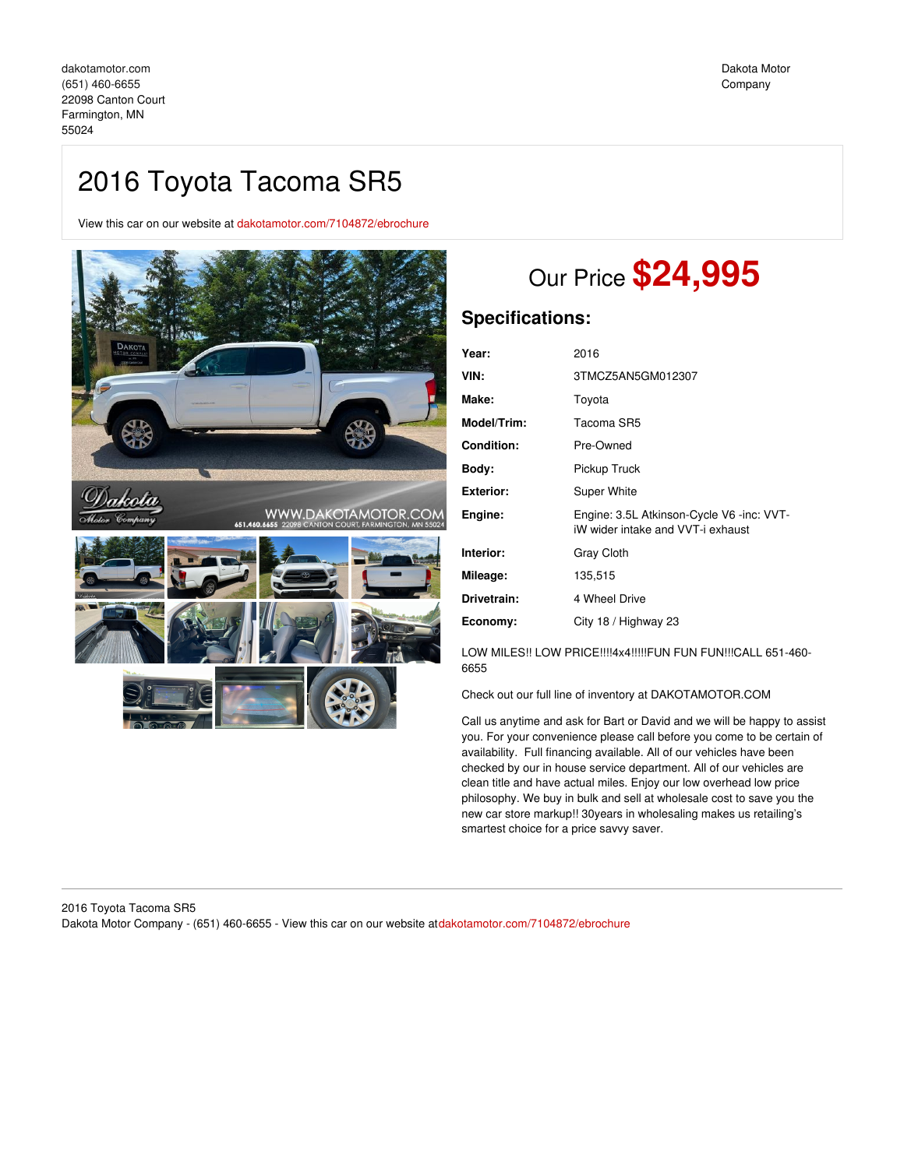View this car on our website at [dakotamotor.com/7104872/ebrochure](https://dakotamotor.com/vehicle/7104872/2016-toyota-tacoma-sr5-farmington-mn-55024/7104872/ebrochure)



# Our Price **\$24,995**

# **Specifications:**

| Year:              | 2016                                                                           |
|--------------------|--------------------------------------------------------------------------------|
| VIN:               | 3TMCZ5AN5GM012307                                                              |
| Make:              | Toyota                                                                         |
| <b>Model/Trim:</b> | Tacoma SR5                                                                     |
| Condition:         | Pre-Owned                                                                      |
| Body:              | Pickup Truck                                                                   |
| Exterior:          | Super White                                                                    |
| Engine:            | Engine: 3.5L Atkinson-Cycle V6 -inc: VVT-<br>iW wider intake and VVT-i exhaust |
| Interior:          | <b>Gray Cloth</b>                                                              |
| Mileage:           | 135,515                                                                        |
| Drivetrain:        | 4 Wheel Drive                                                                  |
| Economy:           | City 18 / Highway 23                                                           |
|                    |                                                                                |

LOW MILES!! LOW PRICE!!!!4x4!!!!!FUN FUN FUN!!!CALL 651-460-6655

Check out our full line of inventory at DAKOTAMOTOR.COM

Call us anytime and ask for Bart or David and we will be happy to assist you. For your convenience please call before you come to be certain of availability. Full financing available. All of our vehicles have been checked by our in house service department. All of our vehicles are clean title and have actual miles. Enjoy our low overhead low price philosophy. We buy in bulk and sell at wholesale cost to save you the new car store markup!! 30years in wholesaling makes us retailing's smartest choice for a price savvy saver.

### 2016 Toyota Tacoma SR5 Dakota Motor Company - (651) 460-6655 - View this car on our website at[dakotamotor.com/7104872/ebrochure](https://dakotamotor.com/vehicle/7104872/2016-toyota-tacoma-sr5-farmington-mn-55024/7104872/ebrochure)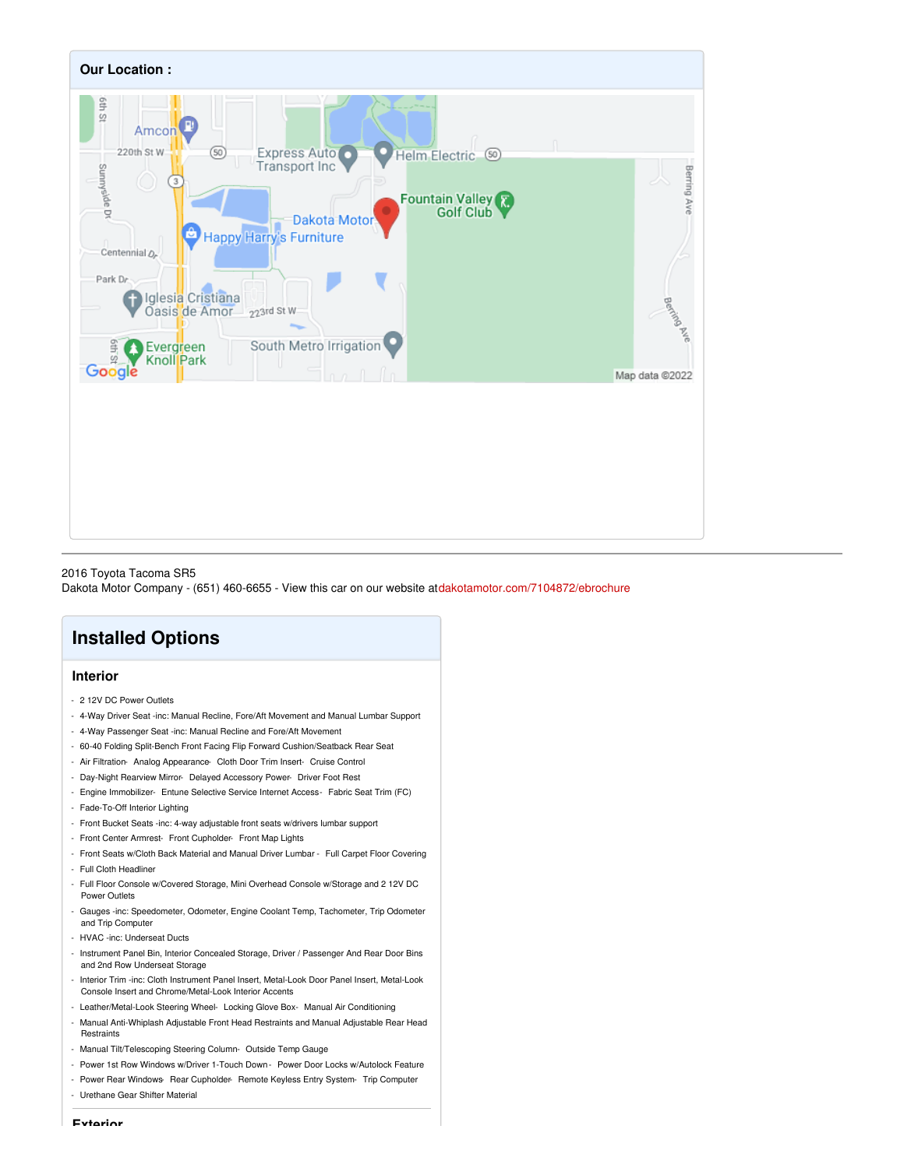

## 2016 Toyota Tacoma SR5 Dakota Motor Company - (651) 460-6655 - View this car on our website at[dakotamotor.com/7104872/ebrochure](https://dakotamotor.com/vehicle/7104872/2016-toyota-tacoma-sr5-farmington-mn-55024/7104872/ebrochure)

# **Installed Options**

## **Interior**

- 2 12V DC Power Outlets
- 4-Way Driver Seat -inc: Manual Recline, Fore/Aft Movement and Manual Lumbar Support
- 4-Way Passenger Seat -inc: Manual Recline and Fore/Aft Movement
- 60-40 Folding Split-Bench Front Facing Flip Forward Cushion/Seatback Rear Seat
- Air Filtration- Analog Appearance- Cloth Door Trim Insert- Cruise Control
- Day-Night Rearview Mirror- Delayed Accessory Power- Driver Foot Rest
- Engine Immobilizer- Entune Selective Service Internet Access- Fabric Seat Trim (FC)
- Fade-To-Off Interior Lighting
- Front Bucket Seats -inc: 4-way adjustable front seats w/drivers lumbar support
- Front Center Armrest- Front Cupholder- Front Map Lights
- Front Seats w/Cloth Back Material and Manual Driver Lumbar Full Carpet Floor Covering
- Full Cloth Headliner
- Full Floor Console w/Covered Storage, Mini Overhead Console w/Storage and 2 12V DC Power Outlets
- Gauges -inc: Speedometer, Odometer, Engine Coolant Temp, Tachometer, Trip Odometer and Trip Computer
- HVAC -inc: Underseat Ducts
- Instrument Panel Bin, Interior Concealed Storage, Driver / Passenger And Rear Door Bins and 2nd Row Underseat Storage
- Interior Trim -inc: Cloth Instrument Panel Insert, Metal-Look Door Panel Insert, Metal-Look Console Insert and Chrome/Metal-Look Interior Accents
- Leather/Metal-Look Steering Wheel- Locking Glove Box- Manual Air Conditioning
- Manual Anti-Whiplash Adjustable Front Head Restraints and Manual Adjustable Rear Head **Restraints**
- Manual Tilt/Telescoping Steering Column- Outside Temp Gauge
- Power 1st Row Windows w/Driver 1-Touch Down Power Door Locks w/Autolock Feature
- Power Rear Windows- Rear Cupholder- Remote Keyless Entry System- Trip Computer
- Urethane Gear Shifter Material